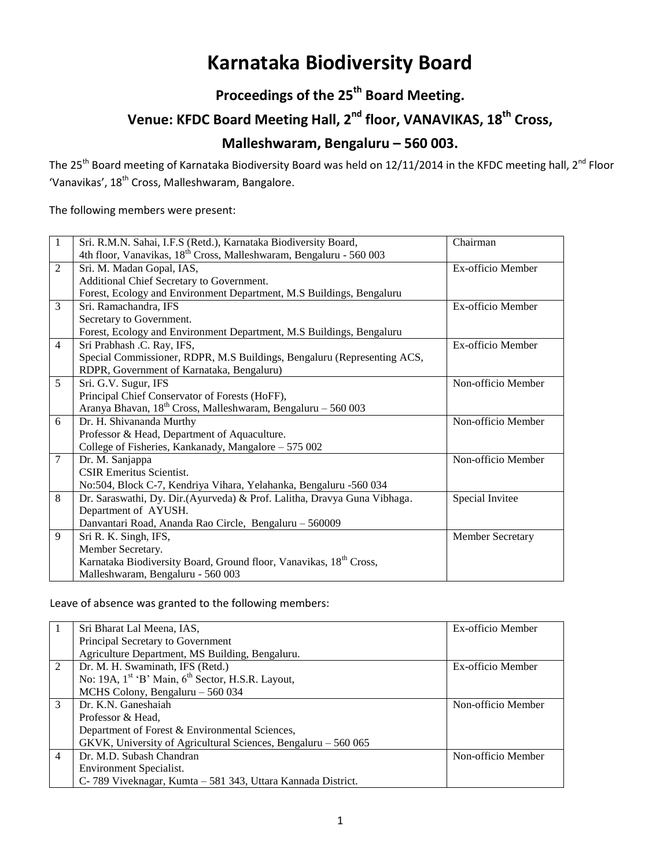# **Karnataka Biodiversity Board**

### **Proceedings of the 25 th Board Meeting.**

## **Venue: KFDC Board Meeting Hall, 2nd floor, VANAVIKAS, 18th Cross,**

### **Malleshwaram, Bengaluru – 560 003.**

The 25<sup>th</sup> Board meeting of Karnataka Biodiversity Board was held on 12/11/2014 in the KFDC meeting hall, 2<sup>nd</sup> Floor 'Vanavikas', 18th Cross, Malleshwaram, Bangalore.

The following members were present:

| $\mathbf{1}$   | Sri. R.M.N. Sahai, I.F.S (Retd.), Karnataka Biodiversity Board,                 | Chairman           |
|----------------|---------------------------------------------------------------------------------|--------------------|
|                | 4th floor, Vanavikas, 18 <sup>th</sup> Cross, Malleshwaram, Bengaluru - 560 003 |                    |
| $\overline{2}$ | Sri. M. Madan Gopal, IAS,                                                       | Ex-officio Member  |
|                | Additional Chief Secretary to Government.                                       |                    |
|                | Forest, Ecology and Environment Department, M.S Buildings, Bengaluru            |                    |
| 3              | Sri. Ramachandra, IFS                                                           | Ex-officio Member  |
|                | Secretary to Government.                                                        |                    |
|                | Forest, Ecology and Environment Department, M.S Buildings, Bengaluru            |                    |
| $\overline{4}$ | Sri Prabhash .C. Ray, IFS,                                                      | Ex-officio Member  |
|                | Special Commissioner, RDPR, M.S Buildings, Bengaluru (Representing ACS,         |                    |
|                | RDPR, Government of Karnataka, Bengaluru)                                       |                    |
| 5              | Sri. G.V. Sugur, IFS                                                            | Non-officio Member |
|                | Principal Chief Conservator of Forests (HoFF),                                  |                    |
|                | Aranya Bhavan, $18^{th}$ Cross, Malleshwaram, Bengaluru – 560 003               |                    |
| 6              | Dr. H. Shivananda Murthy                                                        | Non-officio Member |
|                | Professor & Head, Department of Aquaculture.                                    |                    |
|                | College of Fisheries, Kankanady, Mangalore - 575 002                            |                    |
| $\overline{7}$ | Dr. M. Sanjappa                                                                 | Non-officio Member |
|                | <b>CSIR Emeritus Scientist.</b>                                                 |                    |
|                | No:504, Block C-7, Kendriya Vihara, Yelahanka, Bengaluru -560 034               |                    |
| 8              | Dr. Saraswathi, Dy. Dir.(Ayurveda) & Prof. Lalitha, Dravya Guna Vibhaga.        | Special Invitee    |
|                | Department of AYUSH.                                                            |                    |
|                | Danvantari Road, Ananda Rao Circle, Bengaluru - 560009                          |                    |
| 9              | Sri R. K. Singh, IFS,                                                           | Member Secretary   |
|                | Member Secretary.                                                               |                    |
|                | Karnataka Biodiversity Board, Ground floor, Vanavikas, 18 <sup>th</sup> Cross,  |                    |
|                | Malleshwaram, Bengaluru - 560 003                                               |                    |

Leave of absence was granted to the following members:

|                | Sri Bharat Lal Meena, IAS,                                                | Ex-officio Member  |
|----------------|---------------------------------------------------------------------------|--------------------|
|                | Principal Secretary to Government                                         |                    |
|                | Agriculture Department, MS Building, Bengaluru.                           |                    |
| 2              | Dr. M. H. Swaminath, IFS (Retd.)                                          | Ex-officio Member  |
|                | No: 19A, 1 <sup>st</sup> 'B' Main, 6 <sup>th</sup> Sector, H.S.R. Layout, |                    |
|                | MCHS Colony, Bengaluru - 560 034                                          |                    |
| $\mathcal{E}$  | Dr. K.N. Ganeshaiah                                                       | Non-officio Member |
|                | Professor & Head.                                                         |                    |
|                | Department of Forest & Environmental Sciences,                            |                    |
|                | GKVK, University of Agricultural Sciences, Bengaluru – 560 065            |                    |
| $\overline{4}$ | Dr. M.D. Subash Chandran                                                  | Non-officio Member |
|                | Environment Specialist.                                                   |                    |
|                | C-789 Viveknagar, Kumta – 581 343, Uttara Kannada District.               |                    |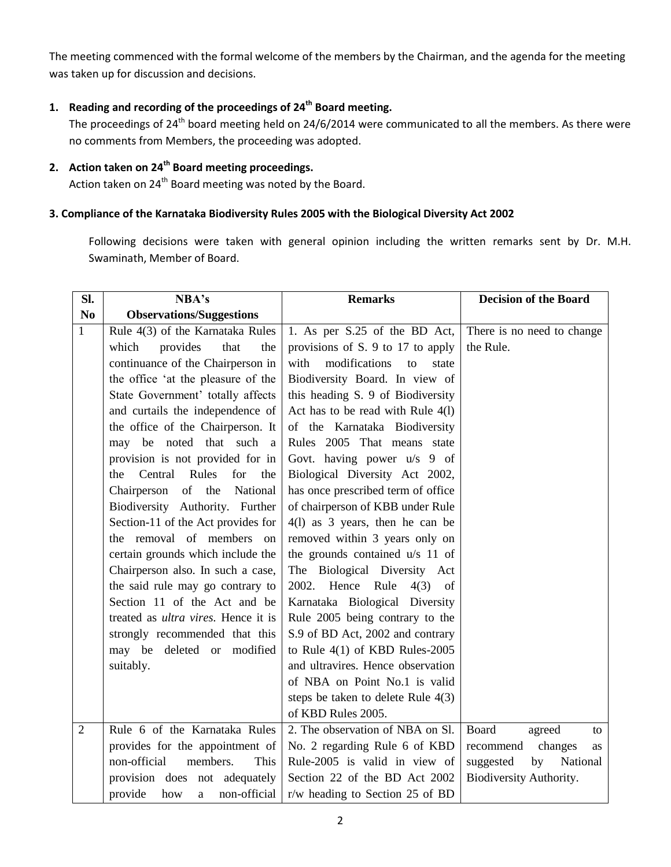The meeting commenced with the formal welcome of the members by the Chairman, and the agenda for the meeting was taken up for discussion and decisions.

#### **1. Reading and recording of the proceedings of 24 th Board meeting.**

The proceedings of 24<sup>th</sup> board meeting held on 24/6/2014 were communicated to all the members. As there were no comments from Members, the proceeding was adopted.

#### **2. Action taken on 24 th Board meeting proceedings.**

Action taken on 24<sup>th</sup> Board meeting was noted by the Board.

#### **3. Compliance of the Karnataka Biodiversity Rules 2005 with the Biological Diversity Act 2002**

Following decisions were taken with general opinion including the written remarks sent by Dr. M.H. Swaminath, Member of Board.

| SI.            | NBA's                                       | <b>Remarks</b>                       | <b>Decision of the Board</b> |
|----------------|---------------------------------------------|--------------------------------------|------------------------------|
| N <sub>0</sub> | <b>Observations/Suggestions</b>             |                                      |                              |
| $\mathbf{1}$   | Rule 4(3) of the Karnataka Rules            | 1. As per S.25 of the BD Act,        | There is no need to change   |
|                | which<br>provides<br>that<br>the            | provisions of S. 9 to 17 to apply    | the Rule.                    |
|                | continuance of the Chairperson in           | modifications<br>with<br>state<br>to |                              |
|                | the office 'at the pleasure of the          | Biodiversity Board. In view of       |                              |
|                | State Government' totally affects           | this heading S. 9 of Biodiversity    |                              |
|                | and curtails the independence of            | Act has to be read with Rule 4(1)    |                              |
|                | the office of the Chairperson. It           | of the Karnataka Biodiversity        |                              |
|                | may be noted that such a                    | Rules 2005 That means state          |                              |
|                | provision is not provided for in            | Govt. having power u/s 9 of          |                              |
|                | Rules<br>Central<br>for<br>the<br>the       | Biological Diversity Act 2002,       |                              |
|                | of<br>the<br>Chairperson<br>National        | has once prescribed term of office   |                              |
|                | Biodiversity Authority. Further             | of chairperson of KBB under Rule     |                              |
|                | Section-11 of the Act provides for          | $4(1)$ as 3 years, then he can be    |                              |
|                | the removal of members on                   | removed within 3 years only on       |                              |
|                | certain grounds which include the           | the grounds contained u/s 11 of      |                              |
|                | Chairperson also. In such a case,           | The Biological Diversity Act         |                              |
|                | the said rule may go contrary to            | Hence Rule<br>2002.<br>$4(3)$ of     |                              |
|                | Section 11 of the Act and be                | Karnataka Biological Diversity       |                              |
|                | treated as <i>ultra vires</i> . Hence it is | Rule 2005 being contrary to the      |                              |
|                | strongly recommended that this              | S.9 of BD Act, 2002 and contrary     |                              |
|                | may be deleted or modified                  | to Rule $4(1)$ of KBD Rules-2005     |                              |
|                | suitably.                                   | and ultravires. Hence observation    |                              |
|                |                                             | of NBA on Point No.1 is valid        |                              |
|                |                                             | steps be taken to delete Rule $4(3)$ |                              |
|                |                                             | of KBD Rules 2005.                   |                              |
| $\overline{2}$ | Rule 6 of the Karnataka Rules               | 2. The observation of NBA on Sl.     | Board<br>agreed<br>to        |
|                | provides for the appointment of             | No. 2 regarding Rule 6 of KBD        | changes<br>recommend<br>as   |
|                | non-official<br>members.<br>This            | Rule-2005 is valid in view of        | National<br>by<br>suggested  |
|                | provision does not adequately               | Section 22 of the BD Act 2002        | Biodiversity Authority.      |
|                | provide<br>non-official<br>how<br>a         | r/w heading to Section 25 of BD      |                              |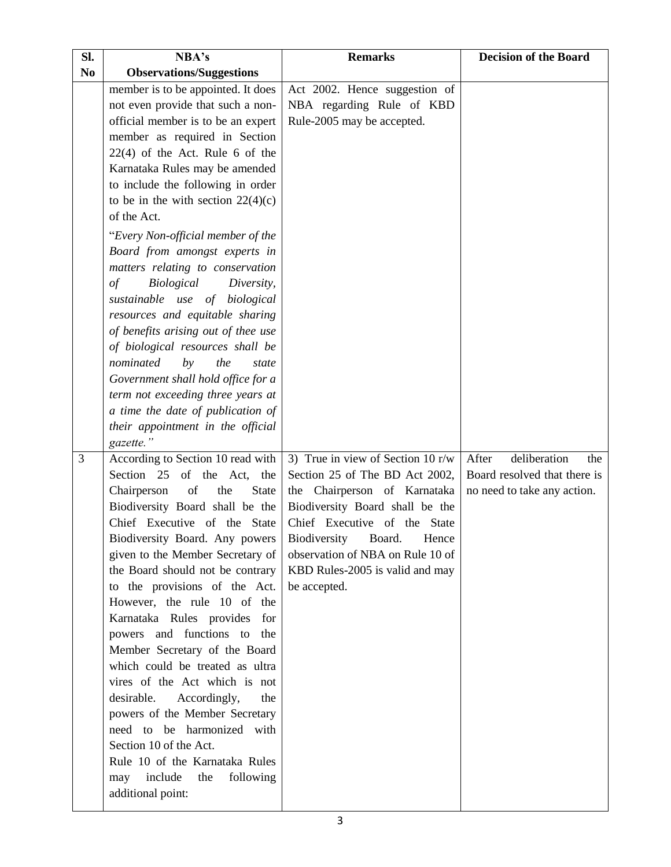| Sl.            | NBA's                                                            | <b>Remarks</b>                      | <b>Decision of the Board</b> |
|----------------|------------------------------------------------------------------|-------------------------------------|------------------------------|
| N <sub>0</sub> | <b>Observations/Suggestions</b>                                  |                                     |                              |
|                | member is to be appointed. It does                               | Act 2002. Hence suggestion of       |                              |
|                | not even provide that such a non-                                | NBA regarding Rule of KBD           |                              |
|                | official member is to be an expert                               | Rule-2005 may be accepted.          |                              |
|                | member as required in Section                                    |                                     |                              |
|                | $22(4)$ of the Act. Rule 6 of the                                |                                     |                              |
|                | Karnataka Rules may be amended                                   |                                     |                              |
|                | to include the following in order                                |                                     |                              |
|                | to be in the with section $22(4)(c)$                             |                                     |                              |
|                | of the Act.                                                      |                                     |                              |
|                | "Every Non-official member of the                                |                                     |                              |
|                | Board from amongst experts in                                    |                                     |                              |
|                | matters relating to conservation                                 |                                     |                              |
|                | Biological<br>of<br>Diversity,                                   |                                     |                              |
|                | sustainable use of biological                                    |                                     |                              |
|                | resources and equitable sharing                                  |                                     |                              |
|                | of benefits arising out of thee use                              |                                     |                              |
|                | of biological resources shall be                                 |                                     |                              |
|                | nominated<br>by<br>the<br>state                                  |                                     |                              |
|                | Government shall hold office for a                               |                                     |                              |
|                | term not exceeding three years at                                |                                     |                              |
|                | a time the date of publication of                                |                                     |                              |
|                | their appointment in the official                                |                                     |                              |
|                | gazette."                                                        |                                     |                              |
| 3              | According to Section 10 read with                                | 3) True in view of Section 10 $r/w$ | deliberation<br>After<br>the |
|                | Section 25 of the Act,<br>the                                    | Section 25 of The BD Act 2002,      | Board resolved that there is |
|                | Chairperson<br>of<br>the<br><b>State</b>                         | the Chairperson of Karnataka        | no need to take any action.  |
|                | Biodiversity Board shall be the                                  | Biodiversity Board shall be the     |                              |
|                | Chief Executive of the State                                     | Chief Executive of the State        |                              |
|                | Biodiversity Board. Any powers                                   | Biodiversity Board.<br>Hence        |                              |
|                | given to the Member Secretary of                                 | observation of NBA on Rule 10 of    |                              |
|                | the Board should not be contrary                                 | KBD Rules-2005 is valid and may     |                              |
|                | to the provisions of the Act.                                    | be accepted.                        |                              |
|                | However, the rule 10 of the                                      |                                     |                              |
|                | Karnataka Rules provides for                                     |                                     |                              |
|                | powers and functions to the                                      |                                     |                              |
|                | Member Secretary of the Board<br>which could be treated as ultra |                                     |                              |
|                | vires of the Act which is not                                    |                                     |                              |
|                | Accordingly,<br>desirable.<br>the                                |                                     |                              |
|                | powers of the Member Secretary                                   |                                     |                              |
|                | need to be harmonized with                                       |                                     |                              |
|                | Section 10 of the Act.                                           |                                     |                              |
|                | Rule 10 of the Karnataka Rules                                   |                                     |                              |
|                | include<br>following<br>may<br>the                               |                                     |                              |
|                | additional point:                                                |                                     |                              |
|                |                                                                  |                                     |                              |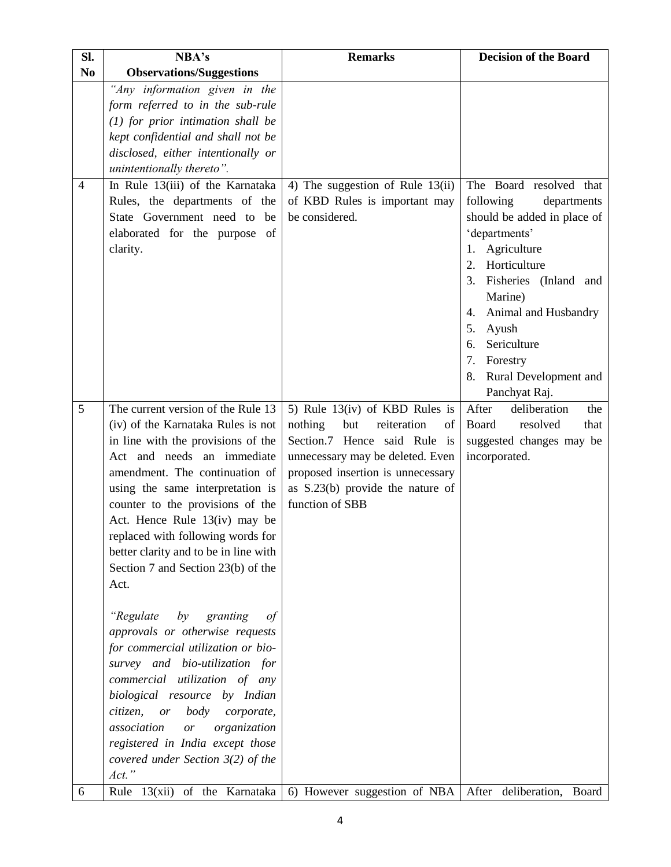| Sl.            | NBA's                                                                                                                                                                                                                                                                                                                                                                                                               | <b>Remarks</b>                                                                                                                                                                                                                          | <b>Decision of the Board</b>                                                                                                                                                                                                                                          |
|----------------|---------------------------------------------------------------------------------------------------------------------------------------------------------------------------------------------------------------------------------------------------------------------------------------------------------------------------------------------------------------------------------------------------------------------|-----------------------------------------------------------------------------------------------------------------------------------------------------------------------------------------------------------------------------------------|-----------------------------------------------------------------------------------------------------------------------------------------------------------------------------------------------------------------------------------------------------------------------|
| N <sub>0</sub> | <b>Observations/Suggestions</b>                                                                                                                                                                                                                                                                                                                                                                                     |                                                                                                                                                                                                                                         |                                                                                                                                                                                                                                                                       |
| 4              | "Any information given in the<br>form referred to in the sub-rule<br>$(1)$ for prior intimation shall be<br>kept confidential and shall not be<br>disclosed, either intentionally or<br>unintentionally thereto".<br>In Rule 13(iii) of the Karnataka<br>Rules, the departments of the                                                                                                                              | 4) The suggestion of Rule $13(ii)$<br>of KBD Rules is important may                                                                                                                                                                     | The Board resolved that<br>following<br>departments                                                                                                                                                                                                                   |
|                | State Government need to<br>be<br>elaborated for the purpose of<br>clarity.                                                                                                                                                                                                                                                                                                                                         | be considered.                                                                                                                                                                                                                          | should be added in place of<br>'departments'<br>Agriculture<br>1.<br>Horticulture<br>2.<br>Fisheries (Inland and<br>3.<br>Marine)<br>Animal and Husbandry<br>4.<br>5.<br>Ayush<br>Sericulture<br>6.<br>7.<br>Forestry<br>Rural Development and<br>8.<br>Panchyat Raj. |
| 5              | The current version of the Rule 13<br>(iv) of the Karnataka Rules is not<br>in line with the provisions of the<br>Act and needs an immediate<br>amendment. The continuation of<br>using the same interpretation is<br>counter to the provisions of the<br>Act. Hence Rule 13(iv) may be<br>replaced with following words for<br>better clarity and to be in line with<br>Section 7 and Section 23(b) of the<br>Act. | 5) Rule $13(iv)$ of KBD Rules is<br>nothing<br>but<br>reiteration<br>of<br>Section.7 Hence said Rule is<br>unnecessary may be deleted. Even<br>proposed insertion is unnecessary<br>as S.23(b) provide the nature of<br>function of SBB | After<br>deliberation<br>the<br>Board<br>resolved<br>that<br>suggested changes may be<br>incorporated.                                                                                                                                                                |
|                | "Regulate<br>by<br>granting<br>of<br>approvals or otherwise requests<br>for commercial utilization or bio-<br>survey and bio-utilization for<br>commercial utilization of any<br>biological resource by Indian<br>citizen,<br>body<br>or<br>corporate,<br>association<br>organization<br>$\emph{or}$<br>registered in India except those<br>covered under Section $3(2)$ of the<br>Act."                            |                                                                                                                                                                                                                                         |                                                                                                                                                                                                                                                                       |
| 6              | Rule 13(xii) of the Karnataka                                                                                                                                                                                                                                                                                                                                                                                       | 6) However suggestion of NBA                                                                                                                                                                                                            | After deliberation,<br>Board                                                                                                                                                                                                                                          |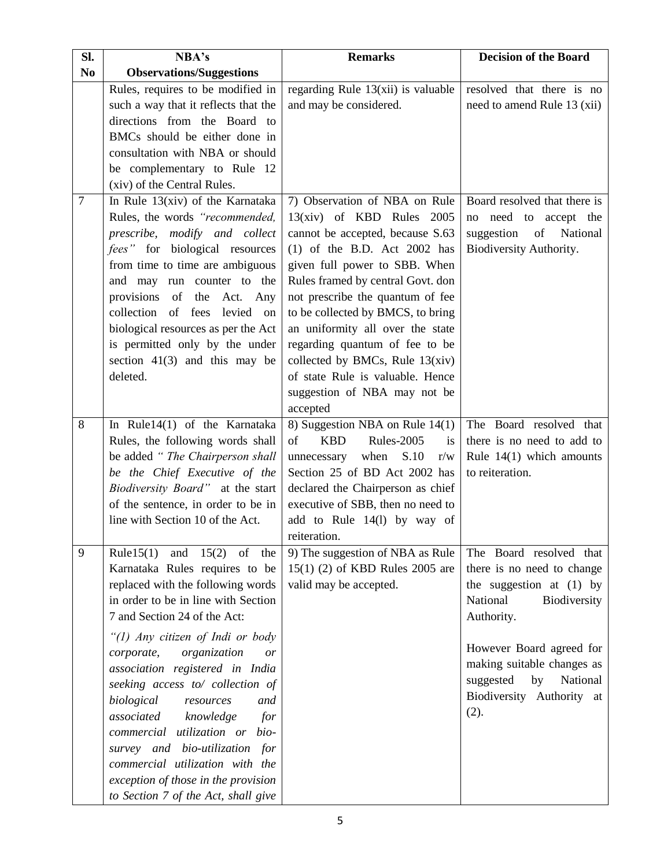| SI.            | NBA's                                     | <b>Remarks</b>                       | <b>Decision of the Board</b> |
|----------------|-------------------------------------------|--------------------------------------|------------------------------|
| N <sub>0</sub> | <b>Observations/Suggestions</b>           |                                      |                              |
|                | Rules, requires to be modified in         | regarding Rule $13(xii)$ is valuable | resolved that there is no    |
|                | such a way that it reflects that the      | and may be considered.               | need to amend Rule 13 (xii)  |
|                | directions from the Board to              |                                      |                              |
|                | BMCs should be either done in             |                                      |                              |
|                | consultation with NBA or should           |                                      |                              |
|                | be complementary to Rule 12               |                                      |                              |
|                | (xiv) of the Central Rules.               |                                      |                              |
| $\overline{7}$ | In Rule $13(xiv)$ of the Karnataka        | 7) Observation of NBA on Rule        | Board resolved that there is |
|                | Rules, the words "recommended,            | $13(xiv)$ of KBD Rules 2005          | no need to accept the        |
|                | prescribe, modify and collect             | cannot be accepted, because S.63     | suggestion<br>of<br>National |
|                | fees" for biological resources            | $(1)$ of the B.D. Act 2002 has       | Biodiversity Authority.      |
|                | from time to time are ambiguous           | given full power to SBB. When        |                              |
|                | and may run counter to the                | Rules framed by central Govt. don    |                              |
|                | provisions<br>of<br>the<br>Act. Any       | not prescribe the quantum of fee     |                              |
|                | collection of fees<br>levied on           | to be collected by BMCS, to bring    |                              |
|                | biological resources as per the Act       | an uniformity all over the state     |                              |
|                | is permitted only by the under            | regarding quantum of fee to be       |                              |
|                | section $41(3)$ and this may be           | collected by BMCs, Rule $13(xiv)$    |                              |
|                | deleted.                                  | of state Rule is valuable. Hence     |                              |
|                |                                           | suggestion of NBA may not be         |                              |
|                |                                           | accepted                             |                              |
| 8              | In Rule14(1) of the Karnataka             | 8) Suggestion NBA on Rule 14(1)      | The Board resolved that      |
|                | Rules, the following words shall          | <b>KBD</b><br>Rules-2005<br>of<br>is | there is no need to add to   |
|                | be added "The Chairperson shall           | when<br>S.10<br>unnecessary<br>r/w   | Rule $14(1)$ which amounts   |
|                | be the Chief Executive of the             | Section 25 of BD Act 2002 has        | to reiteration.              |
|                | Biodiversity Board" at the start          | declared the Chairperson as chief    |                              |
|                | of the sentence, in order to be in        | executive of SBB, then no need to    |                              |
|                | line with Section 10 of the Act.          | add to Rule 14(1) by way of          |                              |
|                |                                           | reiteration.                         |                              |
| 9              | Rule $15(1)$<br>15(2)<br>and<br>of<br>the | 9) The suggestion of NBA as Rule     | The Board resolved that      |
|                | Karnataka Rules requires to be            | 15(1) (2) of KBD Rules 2005 are      | there is no need to change   |
|                | replaced with the following words         | valid may be accepted.               | the suggestion at $(1)$ by   |
|                | in order to be in line with Section       |                                      | National<br>Biodiversity     |
|                | 7 and Section 24 of the Act:              |                                      | Authority.                   |
|                | "(1) Any citizen of Indi or body          |                                      |                              |
|                | corporate,<br>organization<br>or          |                                      | However Board agreed for     |
|                | association registered in India           |                                      | making suitable changes as   |
|                | seeking access to/ collection of          |                                      | National<br>suggested<br>by  |
|                | biological<br>and<br>resources            |                                      | Biodiversity Authority at    |
|                | associated<br>knowledge<br>for            |                                      | (2).                         |
|                | commercial utilization or bio-            |                                      |                              |
|                | survey and bio-utilization for            |                                      |                              |
|                | commercial utilization with the           |                                      |                              |
|                | exception of those in the provision       |                                      |                              |
|                | to Section 7 of the Act, shall give       |                                      |                              |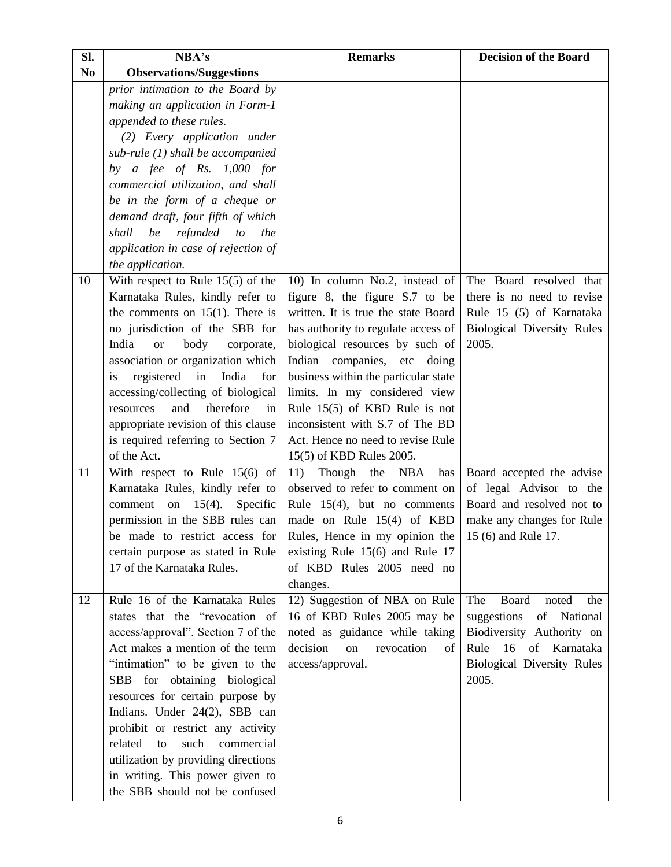| Sl.            | NBA's                                                           | <b>Remarks</b>                                                                                   | <b>Decision of the Board</b>                                                                                                  |
|----------------|-----------------------------------------------------------------|--------------------------------------------------------------------------------------------------|-------------------------------------------------------------------------------------------------------------------------------|
| N <sub>0</sub> | <b>Observations/Suggestions</b>                                 |                                                                                                  |                                                                                                                               |
|                | prior intimation to the Board by                                |                                                                                                  |                                                                                                                               |
|                | making an application in Form-1                                 |                                                                                                  |                                                                                                                               |
|                | appended to these rules.                                        |                                                                                                  |                                                                                                                               |
|                | (2) Every application under                                     |                                                                                                  |                                                                                                                               |
|                | sub-rule $(1)$ shall be accompanied                             |                                                                                                  |                                                                                                                               |
|                | by a fee of Rs. $1,000$ for                                     |                                                                                                  |                                                                                                                               |
|                | commercial utilization, and shall                               |                                                                                                  |                                                                                                                               |
|                | be in the form of a cheque or                                   |                                                                                                  |                                                                                                                               |
|                | demand draft, four fifth of which                               |                                                                                                  |                                                                                                                               |
|                | shall<br>be<br>refunded<br>to<br>the                            |                                                                                                  |                                                                                                                               |
|                | application in case of rejection of                             |                                                                                                  |                                                                                                                               |
|                | the application.                                                |                                                                                                  |                                                                                                                               |
| 10             | With respect to Rule $15(5)$ of the                             | 10) In column No.2, instead of                                                                   | The Board resolved that                                                                                                       |
|                | Karnataka Rules, kindly refer to                                | figure 8, the figure S.7 to be                                                                   | there is no need to revise                                                                                                    |
|                | the comments on $15(1)$ . There is                              | written. It is true the state Board                                                              | Rule 15 (5) of Karnataka                                                                                                      |
|                | no jurisdiction of the SBB for                                  | has authority to regulate access of                                                              | Biological Diversity Rules                                                                                                    |
|                | India<br>body<br>corporate,<br><b>or</b>                        | biological resources by such of                                                                  | 2005.                                                                                                                         |
|                | association or organization which                               | Indian<br>companies, etc doing                                                                   |                                                                                                                               |
|                | registered<br>India<br>in<br>for<br>is                          | business within the particular state                                                             |                                                                                                                               |
|                | accessing/collecting of biological                              | limits. In my considered view                                                                    |                                                                                                                               |
|                | therefore<br>resources<br>and<br>in                             | Rule $15(5)$ of KBD Rule is not                                                                  |                                                                                                                               |
|                | appropriate revision of this clause                             | inconsistent with S.7 of The BD                                                                  |                                                                                                                               |
|                | is required referring to Section 7                              | Act. Hence no need to revise Rule                                                                |                                                                                                                               |
|                | of the Act.                                                     | 15(5) of KBD Rules 2005.                                                                         |                                                                                                                               |
| 11             | With respect to Rule $15(6)$ of                                 | 11)<br>Though the<br><b>NBA</b><br>has                                                           | Board accepted the advise                                                                                                     |
|                | Karnataka Rules, kindly refer to                                | observed to refer to comment on                                                                  | of legal Advisor to the                                                                                                       |
|                | $15(4)$ .<br>comment<br>on<br>Specific                          | Rule $15(4)$ , but no comments                                                                   | Board and resolved not to                                                                                                     |
|                | permission in the SBB rules can                                 | made on Rule 15(4) of KBD                                                                        | make any changes for Rule                                                                                                     |
|                |                                                                 | be made to restrict access for Rules, Hence in my opinion the<br>existing Rule 15(6) and Rule 17 | 15 (6) and Rule 17.                                                                                                           |
|                | certain purpose as stated in Rule<br>17 of the Karnataka Rules. | of KBD Rules 2005 need no                                                                        |                                                                                                                               |
|                |                                                                 | changes.                                                                                         |                                                                                                                               |
| 12             | Rule 16 of the Karnataka Rules                                  | 12) Suggestion of NBA on Rule                                                                    | Board<br>noted<br>The<br>the                                                                                                  |
|                | states that the "revocation of                                  | 16 of KBD Rules 2005 may be                                                                      | suggestions<br>of National                                                                                                    |
|                | access/approval". Section 7 of the                              | noted as guidance while taking                                                                   | Biodiversity Authority on                                                                                                     |
|                | Act makes a mention of the term                                 | decision<br>revocation<br>on<br>of                                                               | 16<br>$% \left( \left( \mathcal{A},\mathcal{A}\right) \right) =\left( \mathcal{A},\mathcal{A}\right)$ of<br>Karnataka<br>Rule |
|                | "intimation" to be given to the                                 | access/approval.                                                                                 | <b>Biological Diversity Rules</b>                                                                                             |
|                | SBB for obtaining biological                                    |                                                                                                  | 2005.                                                                                                                         |
|                | resources for certain purpose by                                |                                                                                                  |                                                                                                                               |
|                | Indians. Under 24(2), SBB can                                   |                                                                                                  |                                                                                                                               |
|                | prohibit or restrict any activity                               |                                                                                                  |                                                                                                                               |
|                | related<br>such<br>commercial<br>to                             |                                                                                                  |                                                                                                                               |
|                | utilization by providing directions                             |                                                                                                  |                                                                                                                               |
|                | in writing. This power given to                                 |                                                                                                  |                                                                                                                               |
|                | the SBB should not be confused                                  |                                                                                                  |                                                                                                                               |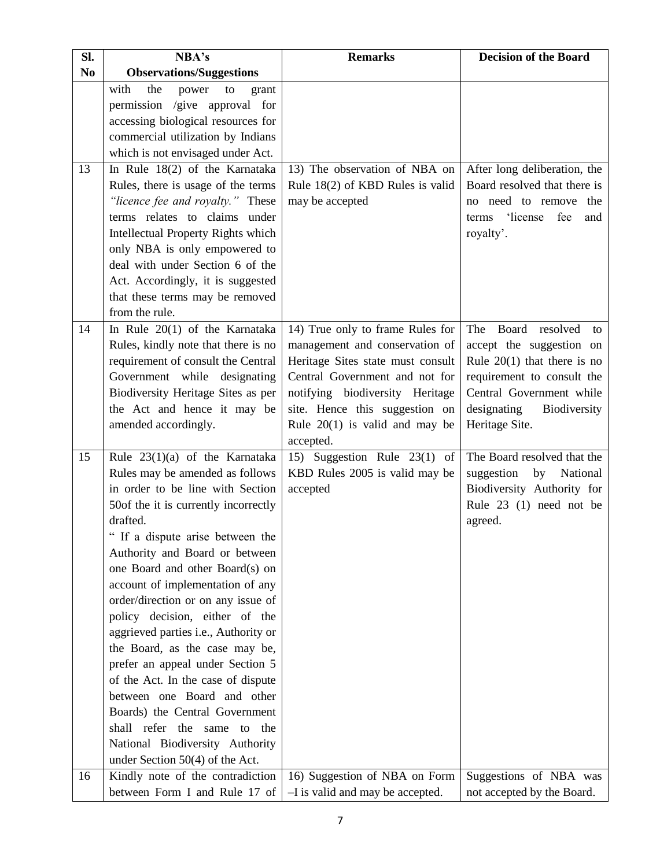| SI.            | NBA's                                                                                                                                                                                                                                                                                                                                                                                                                                                                                                                                                                                                                                                                                                      | <b>Remarks</b>                                                                                                                                                                                                                                                  | <b>Decision of the Board</b>                                                                                                                                                                                  |
|----------------|------------------------------------------------------------------------------------------------------------------------------------------------------------------------------------------------------------------------------------------------------------------------------------------------------------------------------------------------------------------------------------------------------------------------------------------------------------------------------------------------------------------------------------------------------------------------------------------------------------------------------------------------------------------------------------------------------------|-----------------------------------------------------------------------------------------------------------------------------------------------------------------------------------------------------------------------------------------------------------------|---------------------------------------------------------------------------------------------------------------------------------------------------------------------------------------------------------------|
| N <sub>0</sub> | <b>Observations/Suggestions</b>                                                                                                                                                                                                                                                                                                                                                                                                                                                                                                                                                                                                                                                                            |                                                                                                                                                                                                                                                                 |                                                                                                                                                                                                               |
|                | with<br>the<br>power<br>to<br>grant<br>permission /give approval for<br>accessing biological resources for<br>commercial utilization by Indians<br>which is not envisaged under Act.                                                                                                                                                                                                                                                                                                                                                                                                                                                                                                                       |                                                                                                                                                                                                                                                                 |                                                                                                                                                                                                               |
| 13             | In Rule 18(2) of the Karnataka<br>Rules, there is usage of the terms<br>"licence fee and royalty." These<br>terms relates to claims under<br>Intellectual Property Rights which<br>only NBA is only empowered to<br>deal with under Section 6 of the<br>Act. Accordingly, it is suggested<br>that these terms may be removed<br>from the rule.                                                                                                                                                                                                                                                                                                                                                             | 13) The observation of NBA on<br>Rule 18(2) of KBD Rules is valid<br>may be accepted                                                                                                                                                                            | After long deliberation, the<br>Board resolved that there is<br>no need to remove the<br>'license<br>fee<br>terms<br>and<br>royalty'.                                                                         |
| 14             | In Rule 20(1) of the Karnataka<br>Rules, kindly note that there is no<br>requirement of consult the Central<br>Government while<br>designating<br>Biodiversity Heritage Sites as per<br>the Act and hence it may be<br>amended accordingly.                                                                                                                                                                                                                                                                                                                                                                                                                                                                | 14) True only to frame Rules for<br>management and conservation of<br>Heritage Sites state must consult<br>Central Government and not for<br>notifying biodiversity Heritage<br>site. Hence this suggestion on<br>Rule $20(1)$ is valid and may be<br>accepted. | <b>Board</b><br>The<br>resolved<br>to<br>accept the suggestion on<br>Rule $20(1)$ that there is no<br>requirement to consult the<br>Central Government while<br>designating<br>Biodiversity<br>Heritage Site. |
| 15             | Rule 23(1)(a) of the Karnataka<br>Rules may be amended as follows<br>in order to be line with Section<br>50of the it is currently incorrectly<br>drafted.<br>" If a dispute arise between the<br>Authority and Board or between<br>one Board and other Board(s) on<br>account of implementation of any<br>order/direction or on any issue of<br>policy decision, either of the<br>aggrieved parties i.e., Authority or<br>the Board, as the case may be,<br>prefer an appeal under Section 5<br>of the Act. In the case of dispute<br>between one Board and other<br>Boards) the Central Government<br>shall refer the same to the<br>National Biodiversity Authority<br>under Section $50(4)$ of the Act. | 15) Suggestion Rule 23(1) of<br>KBD Rules 2005 is valid may be<br>accepted                                                                                                                                                                                      | The Board resolved that the<br>suggestion<br>by National<br>Biodiversity Authority for<br>Rule 23 (1) need not be<br>agreed.                                                                                  |
| 16             | Kindly note of the contradiction<br>between Form I and Rule 17 of                                                                                                                                                                                                                                                                                                                                                                                                                                                                                                                                                                                                                                          | 16) Suggestion of NBA on Form<br>-I is valid and may be accepted.                                                                                                                                                                                               | Suggestions of NBA was<br>not accepted by the Board.                                                                                                                                                          |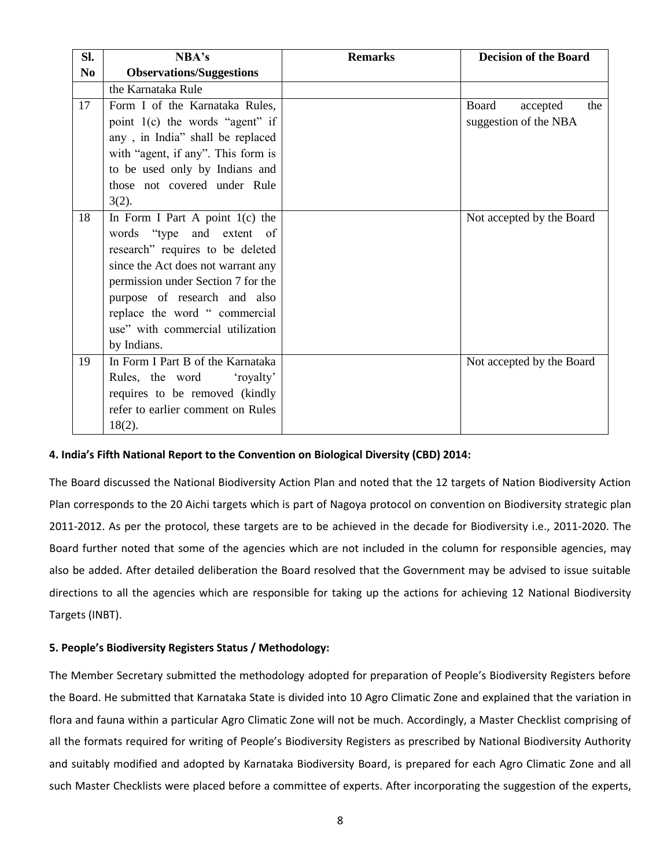| Sl.            | NBA's                              | <b>Remarks</b> | <b>Decision of the Board</b> |
|----------------|------------------------------------|----------------|------------------------------|
| N <sub>0</sub> | <b>Observations/Suggestions</b>    |                |                              |
|                | the Karnataka Rule                 |                |                              |
| 17             | Form I of the Karnataka Rules,     |                | Board<br>the<br>accepted     |
|                | point 1(c) the words "agent" if    |                | suggestion of the NBA        |
|                | any, in India" shall be replaced   |                |                              |
|                | with "agent, if any". This form is |                |                              |
|                | to be used only by Indians and     |                |                              |
|                | those not covered under Rule       |                |                              |
|                | $3(2)$ .                           |                |                              |
| 18             | In Form I Part A point $1(c)$ the  |                | Not accepted by the Board    |
|                | words "type and extent of          |                |                              |
|                | research" requires to be deleted   |                |                              |
|                | since the Act does not warrant any |                |                              |
|                | permission under Section 7 for the |                |                              |
|                | purpose of research and also       |                |                              |
|                | replace the word "commercial       |                |                              |
|                | use" with commercial utilization   |                |                              |
|                | by Indians.                        |                |                              |
| 19             | In Form I Part B of the Karnataka  |                | Not accepted by the Board    |
|                | Rules, the word<br>'royalty'       |                |                              |
|                | requires to be removed (kindly     |                |                              |
|                | refer to earlier comment on Rules  |                |                              |
|                | $18(2)$ .                          |                |                              |

#### **4. India's Fifth National Report to the Convention on Biological Diversity (CBD) 2014:**

The Board discussed the National Biodiversity Action Plan and noted that the 12 targets of Nation Biodiversity Action Plan corresponds to the 20 Aichi targets which is part of Nagoya protocol on convention on Biodiversity strategic plan 2011-2012. As per the protocol, these targets are to be achieved in the decade for Biodiversity i.e., 2011-2020. The Board further noted that some of the agencies which are not included in the column for responsible agencies, may also be added. After detailed deliberation the Board resolved that the Government may be advised to issue suitable directions to all the agencies which are responsible for taking up the actions for achieving 12 National Biodiversity Targets (INBT).

#### **5. People's Biodiversity Registers Status / Methodology:**

The Member Secretary submitted the methodology adopted for preparation of People's Biodiversity Registers before the Board. He submitted that Karnataka State is divided into 10 Agro Climatic Zone and explained that the variation in flora and fauna within a particular Agro Climatic Zone will not be much. Accordingly, a Master Checklist comprising of all the formats required for writing of People's Biodiversity Registers as prescribed by National Biodiversity Authority and suitably modified and adopted by Karnataka Biodiversity Board, is prepared for each Agro Climatic Zone and all such Master Checklists were placed before a committee of experts. After incorporating the suggestion of the experts,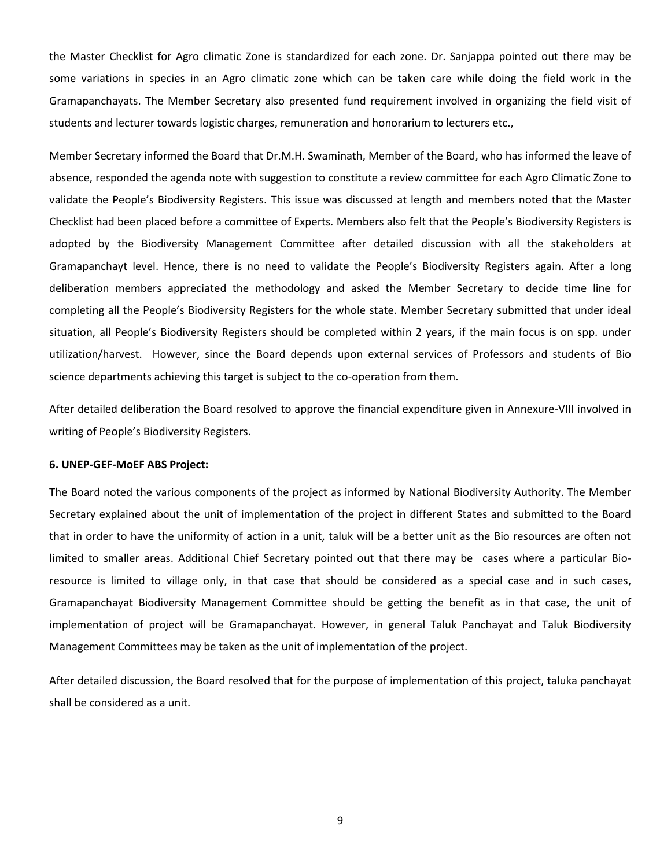the Master Checklist for Agro climatic Zone is standardized for each zone. Dr. Sanjappa pointed out there may be some variations in species in an Agro climatic zone which can be taken care while doing the field work in the Gramapanchayats. The Member Secretary also presented fund requirement involved in organizing the field visit of students and lecturer towards logistic charges, remuneration and honorarium to lecturers etc.,

Member Secretary informed the Board that Dr.M.H. Swaminath, Member of the Board, who has informed the leave of absence, responded the agenda note with suggestion to constitute a review committee for each Agro Climatic Zone to validate the People's Biodiversity Registers. This issue was discussed at length and members noted that the Master Checklist had been placed before a committee of Experts. Members also felt that the People's Biodiversity Registers is adopted by the Biodiversity Management Committee after detailed discussion with all the stakeholders at Gramapanchayt level. Hence, there is no need to validate the People's Biodiversity Registers again. After a long deliberation members appreciated the methodology and asked the Member Secretary to decide time line for completing all the People's Biodiversity Registers for the whole state. Member Secretary submitted that under ideal situation, all People's Biodiversity Registers should be completed within 2 years, if the main focus is on spp. under utilization/harvest. However, since the Board depends upon external services of Professors and students of Bio science departments achieving this target is subject to the co-operation from them.

After detailed deliberation the Board resolved to approve the financial expenditure given in Annexure-VIII involved in writing of People's Biodiversity Registers.

#### **6. UNEP-GEF-MoEF ABS Project:**

The Board noted the various components of the project as informed by National Biodiversity Authority. The Member Secretary explained about the unit of implementation of the project in different States and submitted to the Board that in order to have the uniformity of action in a unit, taluk will be a better unit as the Bio resources are often not limited to smaller areas. Additional Chief Secretary pointed out that there may be cases where a particular Bioresource is limited to village only, in that case that should be considered as a special case and in such cases, Gramapanchayat Biodiversity Management Committee should be getting the benefit as in that case, the unit of implementation of project will be Gramapanchayat. However, in general Taluk Panchayat and Taluk Biodiversity Management Committees may be taken as the unit of implementation of the project.

After detailed discussion, the Board resolved that for the purpose of implementation of this project, taluka panchayat shall be considered as a unit.